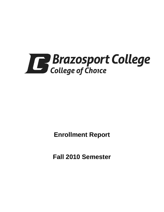

**Enrollment Report**

**Fall 2010 Semester**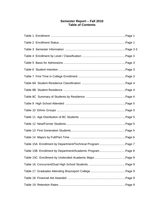# **Semester Report – Fall 2010 Table of Contents**

| Table 15A Enrollment by Department/Technical Program Page 7 |  |
|-------------------------------------------------------------|--|
| Table 15B Enrollment by Department/Academic ProgramPage 8   |  |
|                                                             |  |
|                                                             |  |
|                                                             |  |
|                                                             |  |
|                                                             |  |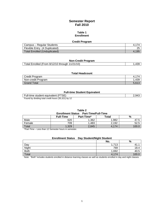# **Semester Report Fall 2010**

### **Table 1 Enrollment**

# **Credit Program**

| Campus - Regular Students     |     |
|-------------------------------|-----|
| Flexible Entry (4 Duplicated) | ገር  |
| Total Enrolled (Unduplicated) | 195 |

# **Non-Credit Program**

| Total Enrolled (From 8/12/10 through 11/21/10) |  |
|------------------------------------------------|--|
|                                                |  |

### **Total Headcount**

| Credit Program     |       |
|--------------------|-------|
| Non-credit Program | .439  |
| <b>Grand Total</b> | 5,613 |

### **Full-time Student Equivalent**

| .                                                                                     |    |
|---------------------------------------------------------------------------------------|----|
| ד⊂⊏<br>* equivalent<br>student<br>, nui-time −<br>-<br>◡∟                             | uд |
| total credit hours (35.321)<br>bv<br>$\rightarrow$ cound by $\rightarrow$<br>dividina |    |

by dividing total credit hours  $(35,321)$  by

| <b>Enrollment Status Part-Time/Full-Time</b> | Table 2 |  |  |  |
|----------------------------------------------|---------|--|--|--|
|                                              |         |  |  |  |

|        | <b>Full-Time</b> | Part-Time* | Total     | %     |
|--------|------------------|------------|-----------|-------|
| Male   | 620              | .362       | 1,982     | 47.   |
| Female | 709              | ,483       | 2,192     | 52.5  |
| Total  | 1,329            | 2,845      | 74<br>4.1 | 100.6 |

\*Part-Time – Less than 12 Semester hours in semester.

### **Enrollment Status Day Student/Night Student**

|             | No.           | %    |
|-------------|---------------|------|
| Day         | 1712<br>د ، ، |      |
| Night       | 769           | 18.4 |
| <b>Both</b> | 1,692         | 40.5 |
| Total       | 4,174         | 100  |

Note: "Both" includes students enrolled in distance learning classes as well as students enrolled in day and night classes.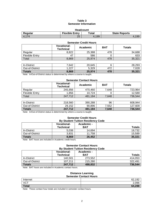### **Table 3 Semester Information**

| <b>Headcount</b> |                       |       |                      |  |
|------------------|-----------------------|-------|----------------------|--|
| Regular          | <b>Flexible Entry</b> | ⊤otal | <b>State Reports</b> |  |
| 174              | 25                    | 4.199 |                      |  |

#### **Semester Credit Hours**

|                       | <b>Vocational-</b><br><b>Technical</b> | Academic | <b>BAT</b> | <b>Totals</b> |
|-----------------------|----------------------------------------|----------|------------|---------------|
| Regular               | 8,822                                  | 25,388   | 478        | 34,688        |
| <b>Flexible Entry</b> | 47                                     | 586      | 0          | 633           |
| Total                 | 8,869                                  | 25,974   | 478        | 35,321        |
|                       |                                        |          |            |               |
| In-District           | 7,642                                  | 20,645   | 6          | 28,293        |
| Out-of-District       | 1.227                                  | 5,329    | 472        | 7,028         |
| <b>Totals</b>         | 8,869                                  | 25,974   | 478        | 35,321        |

Note: In/Out-of-District status is determined by where a course is taught.

#### **Semester Contact Hours**

|                       | <b>Vocational-</b><br><b>Technical</b> | Academic | <b>BAT</b> | <b>Totals</b> |
|-----------------------|----------------------------------------|----------|------------|---------------|
| Regular               | 245,856                                | 470,460  | 7.648      | 723,964       |
| <b>Flexible Entry</b> | 1.856                                  | 10.724   |            | 12,580        |
| Total                 | 247.712                                | 481,184  | 7,648      | 736,544       |
|                       |                                        |          |            |               |
| In-District           | 218,560                                | 390,288  | 96         | 608,944       |

| .               |         |         |       |         |
|-----------------|---------|---------|-------|---------|
| <b>Totals</b>   | 247.712 | 481.184 | 7,648 | 736,544 |
| Out-of-District | 29.152  | 90,896  | 552.′ | 127.600 |
| וטווסוש־ווו     | 210,000 | JJU.ZUU | ວບ    | 000.J44 |

Note: In/Out-of-District status is determined by where a course is taught.

# **Semester Credit Hours**

| <b>By Student Tuition Residency Code</b>                                            |       |        |        |  |
|-------------------------------------------------------------------------------------|-------|--------|--------|--|
| <b>Vocational-</b><br>Academic -<br><b>Technical</b><br><b>Totals</b><br><b>BAT</b> |       |        |        |  |
| In-District                                                                         | 5,038 | 14.694 | 19.732 |  |
| Out-of-District                                                                     | 3.831 | 11.758 | 15.589 |  |
| <b>Totals</b>                                                                       | 8,869 | 26.452 | 35,321 |  |

Note: BAT hours are included in Academic credit hours.

#### **Semester Contact Hours By Student Tuition Residency Code**

|                 | <b>Vocational-</b> | Academic - |               |  |
|-----------------|--------------------|------------|---------------|--|
|                 | <b>Technical</b>   | <b>BAT</b> | <b>Totals</b> |  |
| In-District     | 140.501            | 273,552    | 414.053       |  |
| Out-of-District | 107.211            | 215,280    | 322.491       |  |
| <b>Totals</b>   | 247.712            | 488,832    | 736,544       |  |

Note: BAT hours are included in Academic contact hours.

#### **Distance Learning Semester Contact Hours**

| <u> Juliustul Juliust livulu</u> |        |  |  |
|----------------------------------|--------|--|--|
| Internet                         | 62,192 |  |  |
| <b>VCT</b>                       | 2,096  |  |  |
| Total                            | 64,288 |  |  |
|                                  |        |  |  |

Note: These contact hour totals are included in semester contact hours.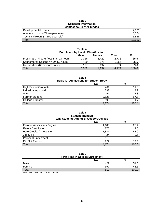### **Table 3 Semester Information Contact hours** *NOT* **funded**

| 9911691199131971191999            |       |  |  |
|-----------------------------------|-------|--|--|
| Developmental Hours               | 2.020 |  |  |
| Academic Hours (Three-peat rule)  | 704   |  |  |
| Technical Hours (Three-peat rule) | 1.856 |  |  |
| Total                             |       |  |  |

| <b>Enrollment by Level / Classification</b> |       |        |       |       |  |
|---------------------------------------------|-------|--------|-------|-------|--|
|                                             | Male  | Female | Total | %     |  |
| Freshman: First Yr (less than 24 hours)     | 1.316 | 1.420  | 2.736 | 65.5  |  |
| Sophomore: Second Yr (24-59 hours)          | 489   | 575    | 1.064 | 25.5  |  |
| Unclassified (60 or more hours)             | 177   | 197    | 374   | 9.0   |  |
| Total                                       | 1.982 | 2.192  | 4.174 | 100.0 |  |

**Table 4**

| Table 5<br><b>Basis for Admissions for Student Body</b> |       |       |  |  |
|---------------------------------------------------------|-------|-------|--|--|
|                                                         | No.   | %     |  |  |
| <b>High School Graduate</b>                             | 461   | 11.0  |  |  |
| Individual Approval                                     | 593   | 14.2  |  |  |
| G.E.D.                                                  | 97    | 2.3   |  |  |
| <b>Former Student</b>                                   | 2,828 | 67.8  |  |  |
| <b>College Transfer</b>                                 | 195   | 4.7   |  |  |
| Total                                                   | 4.174 | 100.C |  |  |

**Table 6 Student Intention Why Students Attend Brazosport College**

|                            | No.   | $\%$  |
|----------------------------|-------|-------|
| Earn an Associate's Degree | 1,103 | 26.4  |
| Earn a Certificate         | 376   | 9.0   |
| Earn Credits for Transfer  | 1,831 | 43.9  |
| Job Skills                 | 24    | 0.6   |
| <b>Personal Enrichment</b> | 118   | 2.8   |
| Did Not Respond            | 722   | 17.3  |
| Total                      | 4,174 | 100.0 |

| Table 7 |  |  |                                         |  |
|---------|--|--|-----------------------------------------|--|
|         |  |  | <b>First Time in College Enrollment</b> |  |

| <b>THE PHILE IN OURGE EMPIRITY</b> |            |        |  |
|------------------------------------|------------|--------|--|
|                                    | No.        | %      |  |
| Male                               | 100<br>᠇᠘᠘ | ن. ا ب |  |
| Female                             | 397        | 48.5   |  |
| Total                              | 819        | 100.0  |  |

Note: FTIC excludes transfer students.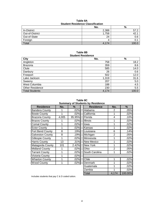| Table 8A                                |  |  |  |
|-----------------------------------------|--|--|--|
| <b>Student Residence Classification</b> |  |  |  |

|                 | No.   | %    |
|-----------------|-------|------|
| In-District     | 2,388 | 57.2 |
| Out-of-District | 1,758 | 42   |
| Out-of-State    | 24    | 0.6  |
| Foreign         |       |      |
| Total           | 4.174 | 100. |

#### **Table 8B Student Residence**

| oluucht nesiuchee      |       |       |  |  |
|------------------------|-------|-------|--|--|
| City                   | No.   | $\%$  |  |  |
| Angleton               | 758   | 18.2  |  |  |
| <b>Brazoria</b>        | 359   | 8.6   |  |  |
| Clute                  | 585   | 14.0  |  |  |
| Danbury                | 26    | 0.6   |  |  |
| Freeport               | 502   | 12.0  |  |  |
| Lake Jackson           | 1,319 | 31.6  |  |  |
| Sweeny                 | 207   | 5.0   |  |  |
| West Columbia          | 188   | 4.5   |  |  |
| <b>Other Residence</b> | 230   | 5.5   |  |  |
| <b>Total Students</b>  | 4,174 | 100.0 |  |  |

**Table 8C Summary of Students by Residence**

| <b>Residence</b>        | No.   | %      | <b>Residence</b>  | No.            | $\%$ |
|-------------------------|-------|--------|-------------------|----------------|------|
| <b>Bandera County</b>   |       | .02%   | Alabama           | 2              | .05% |
| <b>Bowie County</b>     |       | .02%   | California        | 1              | .02% |
| <b>Brazoria County</b>  | 4,005 | 95.95% | Florida           | 4              | .10% |
| <b>Brazos County</b>    |       | .02%   | <b>Illinois</b>   | 1              | .02% |
| <b>Comal County</b>     |       | .02%   | lowa              | 1              | .02% |
| <b>Ector County</b>     |       | .02%   | Kansas            | 1              | .02% |
| Fort Bend County        | 8     | .19%   | Louisiana         | 6              | .14% |
| <b>Galveston County</b> | 8     | .19%   | Michigan          | 2              | .05% |
| <b>Gillespie County</b> | 1     | .02%   | Minnesota         | 1              | .02% |
| <b>Harris County</b>    | 13    | .31%   | <b>New Mexico</b> | 1              | .02% |
| Matagorda County        | 101   | 2.42%  | <b>New York</b>   | 1              | .02% |
| Midland County          |       | .02%   | Ohio              | $\overline{2}$ | .05% |
| <b>Tarrant County</b>   |       | .02%   | South Carolina    | 1              | .02% |
| Victoria County         |       | .02%   |                   |                |      |
| <b>Wharton County</b>   |       | .02%   | Chile             | 1              | .02% |
| <b>Wood County</b>      |       | .02%   | Denmark           |                | .02% |
|                         |       |        |                   |                |      |

| <b>Residence</b>  | No.            | %       |
|-------------------|----------------|---------|
| Alabama           | 2              | .05%    |
| California        | 1              | $.02\%$ |
| Florida           | 4              | .10%    |
| Illinois          | 1              | .02%    |
| lowa              | 1              | .02%    |
| Kansas            | 1              | .02%    |
| Louisiana         | 6              | .14%    |
| Michigan          | $\overline{2}$ | .05%    |
| Minnesota         | 1              | .02%    |
| <b>New Mexico</b> | 1              | .02%    |
| New York          | 1              | .02%    |
| Ohio              | $\overline{2}$ | .05%    |
| South Carolina    | 1              | .02%    |
|                   |                |         |
| Chile             | 1              | .02%    |
| Denmark           | 1              | .02%    |
| Guatemala         | 1              | .02%    |
| Zambia            |                | .02%    |
| Total             | 4.174          | 100.00% |

Includes students that pay C & D coded tuition.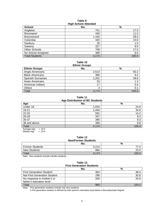#### **Table 9 High School Attended**

| . <b>. .</b>          |       |       |  |  |
|-----------------------|-------|-------|--|--|
| <b>School</b>         | No.   | $\%$  |  |  |
| Angleton              | 701   | 17.0  |  |  |
| <b>Brazosport</b>     | 440   | 11.0  |  |  |
| Brazoswood            | 1,163 | 28.0  |  |  |
| Columbia              | 420   | 10.0  |  |  |
| Danbury               | 26    | 1.0   |  |  |
| Sweeny                | 327   | 8.0   |  |  |
| Other Schools         | 708   | 17.0  |  |  |
| No School Assigned    | 389   | 9.0   |  |  |
| <b>Total Students</b> | 4,174 | 100.0 |  |  |

### **Table 10**

| <b>Ethnic Groups</b>    |       |       |  |  |
|-------------------------|-------|-------|--|--|
| <b>Ethnic Groups</b>    | No.   | %     |  |  |
| Anglo-Americans         | 2,514 | 60.2  |  |  |
| <b>Black Americans</b>  | 385   | 9.2   |  |  |
| <b>Spanish Surnames</b> | 1.201 | 28.8  |  |  |
| Asian Americans         | 53    | 1.3   |  |  |
| American Indians        | 17    | 0.4   |  |  |
| Others                  | 4     | 0.1   |  |  |
| Total                   | 4,174 | 1በበ በ |  |  |

**Table 11 Age Distribution of BC Students**

| Age                     | ◡<br>No. | %     |
|-------------------------|----------|-------|
| Under 18                | 1,034    | 24.8  |
| 18-21                   | 1,446    | 34.6  |
| $22 - 25$               | 591      | 14.2  |
| $26 - 29$               | 347      | 8.3   |
| $30 - 37$               | 390      | 9.3   |
| 38 and above            | 366      | 8.8   |
| Total                   | 4.174    | 100.0 |
| $= 23.5$<br>Average Age |          |       |

 $Median Age = 20.0$ 

#### **Table 12 New/Former Students**

|                        | news onne other ins<br>No.<br>% |      |  |  |
|------------------------|---------------------------------|------|--|--|
| <b>Former Students</b> | 3,214                           | 77   |  |  |
| <b>New Students</b>    | 960                             | 23.0 |  |  |
| Total                  | 4.174                           |      |  |  |

Note: New students include transfer students.

### **Table 13 First Generation Students**

|                                 | No. | %    |  |  |
|---------------------------------|-----|------|--|--|
| <b>First Generation Student</b> | 464 | 48.4 |  |  |
| Not First Generation Student    | 296 | 30.8 |  |  |
| No response in mother's or      | 200 | 20.8 |  |  |
| father's education level        |     |      |  |  |
| Total                           | 960 |      |  |  |

Note: First generation students include only new students.

A first generation student is defined by both parent's education level below a Baccalaureate Degree.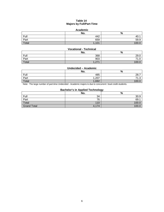### **Table 14 Majors by Full/Part-Time**

### **Academic**

|       | No.                       | %             |
|-------|---------------------------|---------------|
| Full  | 442                       | $\sim$<br>40. |
| Part  | 659                       | 59.9          |
| Total | 1,101<br>$\boldsymbol{A}$ | 100.          |

### **Vocational - Technical**

|       | No.                 | %                               |
|-------|---------------------|---------------------------------|
| Full  | 368                 | 29.0                            |
| Part  | 903                 | $\rightarrow$<br>$\sim$<br>ن. ا |
| Total | $\sqrt{74}$<br>$-1$ | 100                             |

### **Undecided – Academic**

|       | No.   | %                                |
|-------|-------|----------------------------------|
| Full  | 485   | 28.7                             |
| Part  | ,207  | $\sim$<br>$\overline{a}$<br>ں. ا |
| Total | 1,692 | 100                              |

Note: The large number of part-time Undecided - Academic majors is due to concurrent / dual credit students.

### **Bachelor's in Applied Technology**

|                    | No.   | %     |
|--------------------|-------|-------|
| Full               | 34    | 30.9  |
| Part               | 76    | 69.7  |
| Total              | 110   | 100.0 |
| <b>Grand Total</b> | 4,174 | 100.0 |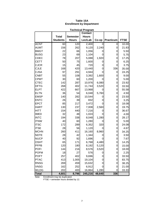|              |                 |                 | <b>Technical Program</b> |        |           |             |
|--------------|-----------------|-----------------|--------------------------|--------|-----------|-------------|
|              |                 |                 | <b>Contact</b>           |        |           |             |
|              | <b>Total</b>    | <b>Semester</b> | <b>Hours</b>             |        |           |             |
|              | <b>Students</b> | <b>Hours</b>    | Lec/Lab                  | Co-op  | Practicum | <b>FTSE</b> |
| <b>ACNT</b>  | 60              | 120             | 2,400                    | 0      | 0         | 10.00       |
| <b>AUMT</b>  | 156             | 262             | 9,120                    | 2,240  | 0         | 21.83       |
| <b>BMGT</b>  | 22              | 66              | 1,056                    | 0      | 0         | 5.50        |
| <b>BUSG</b>  | 23              | 69              | 1,104                    | 0      | 0         | 5.75        |
| <b>CDEC</b>  | 78              | 207             | 5,088                    | 1,920  | 0         | 17.25       |
| <b>CETT</b>  | 50              | 75              | 1,600                    | 0      | 0         | 6.25        |
| <b>CJCR</b>  | 15              | 45              | 720                      | 0      | 0         | 3.75        |
| <b>CJLE</b>  | 168             | 420             | 13,440                   | 0      | 336       | 35.00       |
| <b>CJSA</b>  | 97              | 291             | 4,944                    | 0      | 0         | 24.25       |
| <b>CNBT</b>  | 55              | 108             | 3,392                    | 1,600  | 0         | 9.00        |
| <b>CPMT</b>  | 30              | 60              | 1,200                    | 0      | 0         | 5.00        |
| <b>CTEC</b>  | 142             | 287             | 10,976                   | 6,080  | 0         | 23.92       |
| <b>DFTG</b>  | 268             | 402             | 11,744                   | 3,520  | 0         | 33.50       |
| <b>ELPT</b>  | 422             | 667             | 13,968                   | 0      | 0         | 55.58       |
| <b>ELTN</b>  | 36              | 54              | 6,048                    | 5,760  | 0         | 4.50        |
| <b>EMSP</b>  | 140             | 282             | 10,544                   | 0      | 0         | 23.50       |
| <b>ENTC</b>  | 26              | 39              | 832                      | 0      | 0         | 3.25        |
| <b>EPCT</b>  | 85              | 217             | 3,472                    | 0      | 0         | 18.08       |
| <b>HART</b>  | 130             | 237             | 7,008                    | 2,560  | 0         | 19.75       |
| <b>HITT</b>  | 154             | 440             | 7,216                    | 0      | 0         | 36.67       |
| <b>IMED</b>  | 32              | 48              | 1,024                    | 0      | 0         | 4.00        |
| <b>INTC</b>  | 194             | 338             | 8,048                    | 1,280  | 0         | 28.17       |
| <b>ITNW</b>  | 40              | 60              | 1,280                    | 0      | 0         | 5.00        |
| <b>ITSC</b>  | 172             | 289             | 6,352                    | 320    | 0         | 24.08       |
| <b>ITSE</b>  | 28              | 56              | 1,120                    | 0      | 0         | 4.67        |
| <b>MCHN</b>  | 260             | 411             | 16,160                   | 8,960  | 0         | 34.25       |
| <b>NDTE</b>  | 28              | 42              | 1,344                    | 0      | 0         | 3.50        |
| <b>NUCP</b>  | 40              | 92              | 1,696                    | 0      | 0         | 7.67        |
| <b>OSHT</b>  | 65              | 171             | 6,768                    | 4,480  | 0         | 14.25       |
| <b>PFPB</b>  | 120             | 180             | 8,192                    | 5,120  | 0         | 15.00       |
| <b>POFI</b>  | 144             | 216             | 8,576                    | 3,520  | 0         | 18.00       |
| <b>POFM</b>  | 18              | 27              | 576                      | 0      | 0         | 2.25        |
| <b>POFT</b>  | 257             | 402             | 9,696                    | 0      | 0         | 33.50       |
| <b>PTAC</b>  | 413             | 1,005           | 19,104                   | 0      | 0         | 83.75       |
| <b>RNSG</b>  | 269             | 459             | 15,632                   | 0      | 0         | 38.25       |
| <b>VNSG</b>  | 162             | 252             | 6,912                    | 0      | 0         | 21.00       |
| <b>WLDG</b>  | 202             | 400             | 16,864                   | 1,280  | 0         | 33.33       |
| <b>Total</b> | 4,601           | 8,796           | 245,216                  | 48,640 | 336       |             |

### **Table 15A Enrollment by Department**

Note: Enrollment may be duplicated.

FTSE = semester hours divided by 12.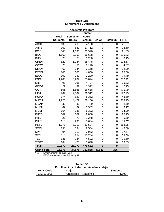| <b>Academic Program</b> |                 |                 |                |             |                  |             |
|-------------------------|-----------------|-----------------|----------------|-------------|------------------|-------------|
|                         |                 |                 | <b>Contact</b> |             |                  |             |
|                         | <b>Total</b>    | <b>Semester</b> | <b>Hours</b>   |             |                  |             |
|                         | <b>Students</b> | <b>Hours</b>    | Lec/Lab        | Co-op       | <b>Practicum</b> | <b>FTSE</b> |
| <b>ACCT</b>             | 130             | 260             | 4,160          | 0           | 0                | 21.67       |
| <b>ARTS</b>             | 369             | 882             | 17,712         | 0           | 0                | 73.50       |
| <b>BCIS</b>             | 548             | 1,096           | 21,920         | 0           | 0                | 91.33       |
| <b>BIOL</b>             | 1,162           | 2,350           | 56,608         | 0           | 0                | 195.83      |
| <b>BUSI</b>             | 25              | 75              | 1,200          | 0           | 0                | 6.25        |
| <b>CHEM</b>             | 622             | 1,244           | 28,448         | 0           | 0                | 103.67      |
| COSC                    | 28              | 56              | 1,120          | $\mathbf 0$ | 0                | 4.67        |
| <b>DRAM</b>             | 62              | 144             | 3,168          | 0           | 0                | 12.00       |
| <b>ECON</b>             | 100             | 300             | 4,800          | 0           | 0                | 25.00       |
| <b>EDUC</b>             | 100             | 150             | 3,200          | 0           | 0                | 12.50       |
| <b>ENGL</b>             | 1,203           | 3,269           | 55,024         | 0           | 0                | 272.42      |
| <b>ENVR</b>             | 98              | 196             | 4,704          | 0           | 0                | 16.33       |
| <b>GEOG</b>             | 29              | 87              | 1,392          | $\mathbf 0$ | 0                | 7.25        |
| GOVT                    | 556             | 1,668           | 26,688         | 0           | 0                | 139.00      |
| <b>HIST</b>             | 769             | 2,307           | 36,912         | 0           | 0                | 192.25      |
| <b>HUMA</b>             | 174             | 522             | 8,352          | 0           | 0                | 43.50       |
| <b>MATH</b>             | 1,925           | 4,479           | 82,156         | $\mathbf 0$ | 0                | 373.25      |
| <b>MUAP</b>             | 30              | 30              | 480            | 0           | 0                | 2.50        |
| <b>MUEN</b>             | 62              | 62              | 3,952          | 0           | 0                | 5.17        |
| <b>MUSI</b>             | 154             | 288             | 5,392          | 0           | $\overline{0}$   | 24.00       |
| PHED                    | 309             | 309             | 9,888          | 0           | 0                | 25.75       |
| PHIL                    | 26              | 78              | 1,248          | 0           | 0                | 6.50        |
| <b>PHYS</b>             | 118             | 236             | 5,664          | 0           | 0                | 19.67       |
| <b>PSYC</b>             | 1,073           | 3,219           | 51,504         | $\mathbf 0$ | 0                | 268.25      |
| SOCI                    | 198             | 594             | 9,504          | 0           | 0                | 49.50       |
| <b>SPAN</b>             | 94              | 212             | 3,952          | 0           | 0                | 17.67       |
| <b>SPCH</b>             | 318             | 954             | 15,264         | 0           | 0                | 79.50       |
| <b>TECA</b>             | 131             | 234             | 4,592          | 0           | 0                | 19.50       |
| <b>TMGT</b>             | 164             | 478             | 7,648          | 0           | 0                | 39.83       |
| <b>Total</b>            | 10,577          | 25,779          | 476,652        | $\bf{0}$    | $\bf{0}$         |             |
| <b>Grand Total</b>      | 15,178          | 34,575          | 721,868        | 48,640      | 336              |             |

### **Table 15B Enrollment by Department**

Note: Enrollment may be duplicated.

FTSE = semester hours divided by 12.

|      |              | Table 15C                                     |     |
|------|--------------|-----------------------------------------------|-----|
|      |              | <b>Enrollment by Undecided Academic Major</b> |     |
| Code | <b>Maior</b> |                                               | Stu |

| <b>Hegis Code</b> | Major                | <b>Students</b> |
|-------------------|----------------------|-----------------|
| 6950 & 9996       | Undecided - Academic | 1.692           |